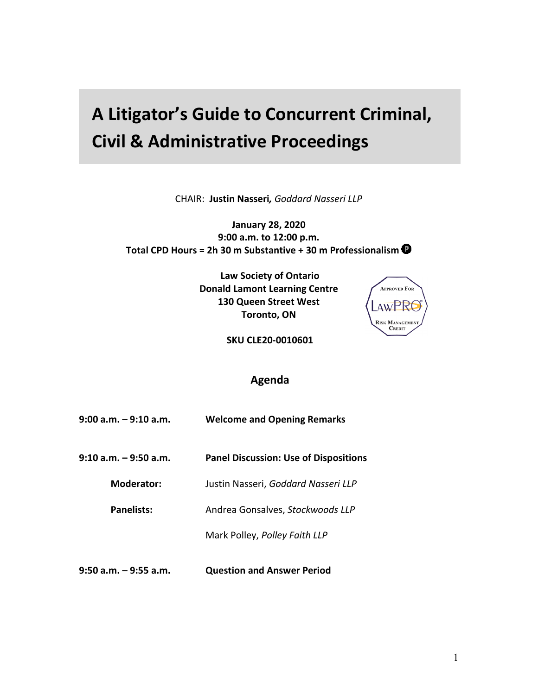## **A Litigator's Guide to Concurrent Criminal, Civil & Administrative Proceedings**

CHAIR: **Justin Nasseri***, Goddard Nasseri LLP*

**January 28, 2020 9:00 a.m. to 12:00 p.m. Total CPD Hours = 2h 30 m Substantive + 30 m Professionalism**

> **Law Society of Ontario Donald Lamont Learning Centre 130 Queen Street West Toronto, ON**



**SKU CLE20-0010601**

## **Agenda**

| 9:00 a.m. – 9:10 a.m. | <b>Welcome and Opening Remarks</b>           |
|-----------------------|----------------------------------------------|
| 9:10 a.m. – 9:50 a.m. | <b>Panel Discussion: Use of Dispositions</b> |
| Moderator:            | Justin Nasseri, Goddard Nasseri LLP          |
| Panelists:            | Andrea Gonsalves, Stockwoods LLP             |
|                       | Mark Polley, Polley Faith LLP                |
| 9:50 a.m. – 9:55 a.m. | <b>Question and Answer Period</b>            |